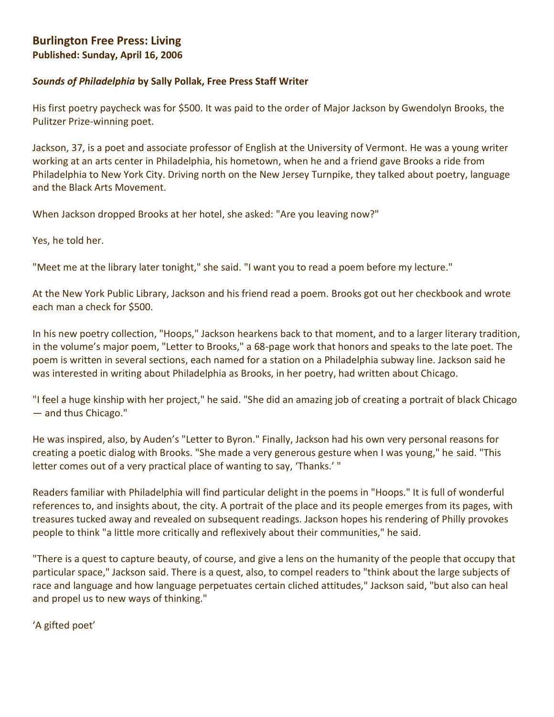## **Burlington Free Press: Living Published: Sunday, April 16, 2006**

## *Sounds of Philadelphia* **by Sally Pollak, Free Press Staff Writer**

His first poetry paycheck was for \$500. It was paid to the order of Major Jackson by Gwendolyn Brooks, the Pulitzer Prize-winning poet.

Jackson, 37, is a poet and associate professor of English at the University of Vermont. He was a young writer working at an arts center in Philadelphia, his hometown, when he and a friend gave Brooks a ride from Philadelphia to New York City. Driving north on the New Jersey Turnpike, they talked about poetry, language and the Black Arts Movement.

When Jackson dropped Brooks at her hotel, she asked: "Are you leaving now?"

Yes, he told her.

"Meet me at the library later tonight," she said. "I want you to read a poem before my lecture."

At the New York Public Library, Jackson and his friend read a poem. Brooks got out her checkbook and wrote each man a check for \$500.

In his new poetry collection, "Hoops," Jackson hearkens back to that moment, and to a larger literary tradition, in the volume's major poem, "Letter to Brooks," a 68-page work that honors and speaks to the late poet. The poem is written in several sections, each named for a station on a Philadelphia subway line. Jackson said he was interested in writing about Philadelphia as Brooks, in her poetry, had written about Chicago.

"I feel a huge kinship with her project," he said. "She did an amazing job of creating a portrait of black Chicago — and thus Chicago."

He was inspired, also, by Auden's "Letter to Byron." Finally, Jackson had his own very personal reasons for creating a poetic dialog with Brooks. "She made a very generous gesture when I was young," he said. "This letter comes out of a very practical place of wanting to say, 'Thanks.' "

Readers familiar with Philadelphia will find particular delight in the poems in "Hoops." It is full of wonderful references to, and insights about, the city. A portrait of the place and its people emerges from its pages, with treasures tucked away and revealed on subsequent readings. Jackson hopes his rendering of Philly provokes people to think "a little more critically and reflexively about their communities," he said.

"There is a quest to capture beauty, of course, and give a lens on the humanity of the people that occupy that particular space," Jackson said. There is a quest, also, to compel readers to "think about the large subjects of race and language and how language perpetuates certain cliched attitudes," Jackson said, "but also can heal and propel us to new ways of thinking."

'A gifted poet'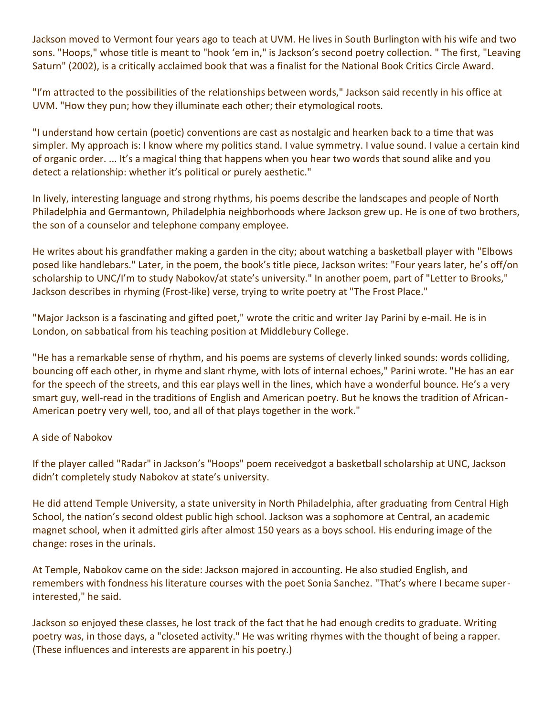Jackson moved to Vermont four years ago to teach at UVM. He lives in South Burlington with his wife and two sons. "Hoops," whose title is meant to "hook 'em in," is Jackson's second poetry collection. " The first, "Leaving Saturn" (2002), is a critically acclaimed book that was a finalist for the National Book Critics Circle Award.

"I'm attracted to the possibilities of the relationships between words," Jackson said recently in his office at UVM. "How they pun; how they illuminate each other; their etymological roots.

"I understand how certain (poetic) conventions are cast as nostalgic and hearken back to a time that was simpler. My approach is: I know where my politics stand. I value symmetry. I value sound. I value a certain kind of organic order. ... It's a magical thing that happens when you hear two words that sound alike and you detect a relationship: whether it's political or purely aesthetic."

In lively, interesting language and strong rhythms, his poems describe the landscapes and people of North Philadelphia and Germantown, Philadelphia neighborhoods where Jackson grew up. He is one of two brothers, the son of a counselor and telephone company employee.

He writes about his grandfather making a garden in the city; about watching a basketball player with "Elbows posed like handlebars." Later, in the poem, the book's title piece, Jackson writes: "Four years later, he's off/on scholarship to UNC/I'm to study Nabokov/at state's university." In another poem, part of "Letter to Brooks," Jackson describes in rhyming (Frost-like) verse, trying to write poetry at "The Frost Place."

"Major Jackson is a fascinating and gifted poet," wrote the critic and writer Jay Parini by e-mail. He is in London, on sabbatical from his teaching position at Middlebury College.

"He has a remarkable sense of rhythm, and his poems are systems of cleverly linked sounds: words colliding, bouncing off each other, in rhyme and slant rhyme, with lots of internal echoes," Parini wrote. "He has an ear for the speech of the streets, and this ear plays well in the lines, which have a wonderful bounce. He's a very smart guy, well-read in the traditions of English and American poetry. But he knows the tradition of African-American poetry very well, too, and all of that plays together in the work."

## A side of Nabokov

If the player called "Radar" in Jackson's "Hoops" poem receivedgot a basketball scholarship at UNC, Jackson didn't completely study Nabokov at state's university.

He did attend Temple University, a state university in North Philadelphia, after graduating from Central High School, the nation's second oldest public high school. Jackson was a sophomore at Central, an academic magnet school, when it admitted girls after almost 150 years as a boys school. His enduring image of the change: roses in the urinals.

At Temple, Nabokov came on the side: Jackson majored in accounting. He also studied English, and remembers with fondness his literature courses with the poet Sonia Sanchez. "That's where I became superinterested," he said.

Jackson so enjoyed these classes, he lost track of the fact that he had enough credits to graduate. Writing poetry was, in those days, a "closeted activity." He was writing rhymes with the thought of being a rapper. (These influences and interests are apparent in his poetry.)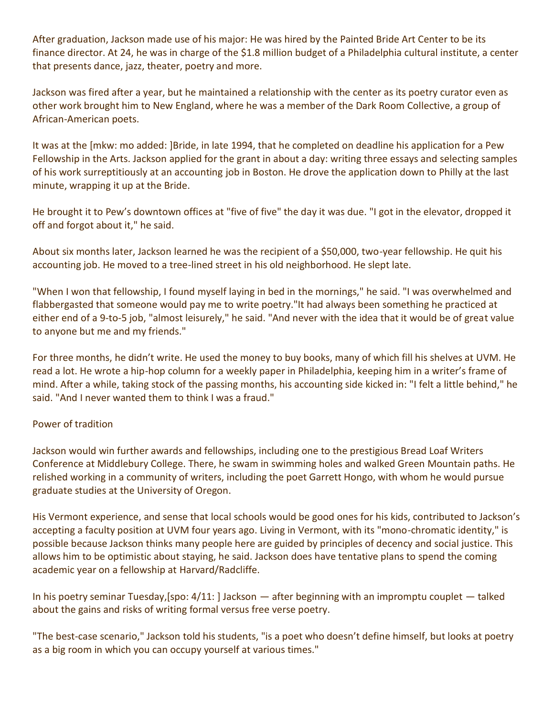After graduation, Jackson made use of his major: He was hired by the Painted Bride Art Center to be its finance director. At 24, he was in charge of the \$1.8 million budget of a Philadelphia cultural institute, a center that presents dance, jazz, theater, poetry and more.

Jackson was fired after a year, but he maintained a relationship with the center as its poetry curator even as other work brought him to New England, where he was a member of the Dark Room Collective, a group of African-American poets.

It was at the [mkw: mo added: ]Bride, in late 1994, that he completed on deadline his application for a Pew Fellowship in the Arts. Jackson applied for the grant in about a day: writing three essays and selecting samples of his work surreptitiously at an accounting job in Boston. He drove the application down to Philly at the last minute, wrapping it up at the Bride.

He brought it to Pew's downtown offices at "five of five" the day it was due. "I got in the elevator, dropped it off and forgot about it," he said.

About six months later, Jackson learned he was the recipient of a \$50,000, two-year fellowship. He quit his accounting job. He moved to a tree-lined street in his old neighborhood. He slept late.

"When I won that fellowship, I found myself laying in bed in the mornings," he said. "I was overwhelmed and flabbergasted that someone would pay me to write poetry."It had always been something he practiced at either end of a 9-to-5 job, "almost leisurely," he said. "And never with the idea that it would be of great value to anyone but me and my friends."

For three months, he didn't write. He used the money to buy books, many of which fill his shelves at UVM. He read a lot. He wrote a hip-hop column for a weekly paper in Philadelphia, keeping him in a writer's frame of mind. After a while, taking stock of the passing months, his accounting side kicked in: "I felt a little behind," he said. "And I never wanted them to think I was a fraud."

## Power of tradition

Jackson would win further awards and fellowships, including one to the prestigious Bread Loaf Writers Conference at Middlebury College. There, he swam in swimming holes and walked Green Mountain paths. He relished working in a community of writers, including the poet Garrett Hongo, with whom he would pursue graduate studies at the University of Oregon.

His Vermont experience, and sense that local schools would be good ones for his kids, contributed to Jackson's accepting a faculty position at UVM four years ago. Living in Vermont, with its "mono-chromatic identity," is possible because Jackson thinks many people here are guided by principles of decency and social justice. This allows him to be optimistic about staying, he said. Jackson does have tentative plans to spend the coming academic year on a fellowship at Harvard/Radcliffe.

In his poetry seminar Tuesday,[spo: 4/11: ] Jackson — after beginning with an impromptu couplet — talked about the gains and risks of writing formal versus free verse poetry.

"The best-case scenario," Jackson told his students, "is a poet who doesn't define himself, but looks at poetry as a big room in which you can occupy yourself at various times."